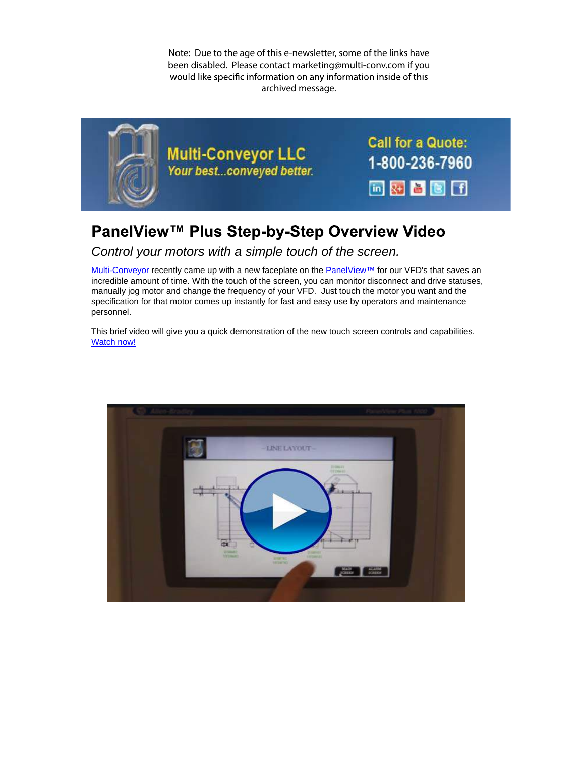Note: Due to the age of this e-newsletter, some of the links have been disabled. Please contact marketing@multi-conv.com if you would like specific information on any information inside of this archived message.



## PanelView™ Plus Step-by-Step Overview Video

## Control your motors with a simple touch of the screen.

Multi-Conveyor recently came up with a new faceplate on the PanelView™ for our VFD's that saves an incredible amount of time. With the touch of the screen, you can monitor disconnect and drive statuses, manually jog motor and change the frequency of your VFD. Just touch the motor you want and the specification for that motor comes up instantly for fast and easy use by operators and maintenance personnel.

This brief video will give you a quick demonstration of the new touch screen controls and capabilities. Watch now!